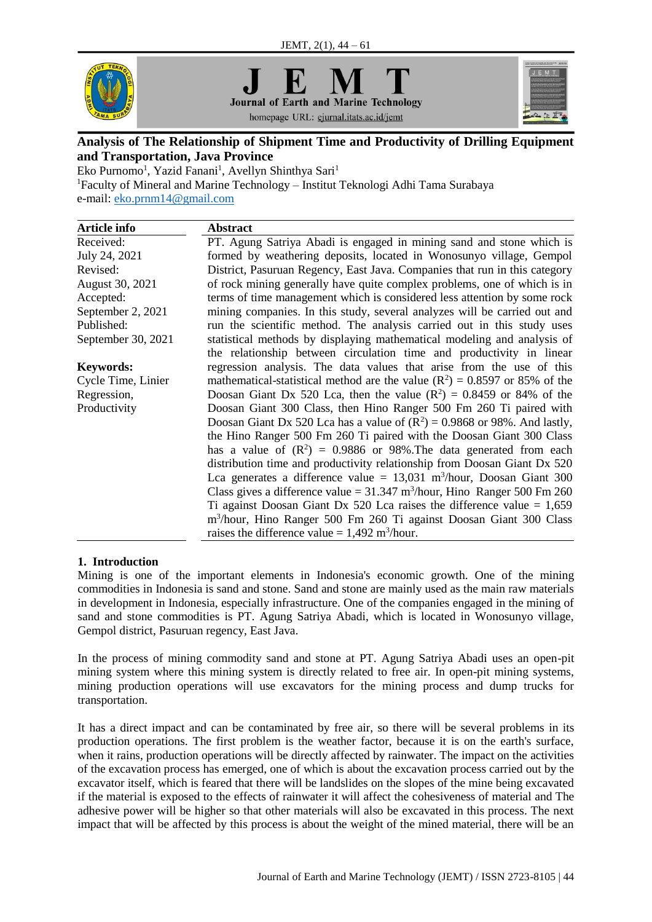





# homepage URL: ejurnal.itats.ac.id/jemt

## **Analysis of The Relationship of Shipment Time and Productivity of Drilling Equipment and Transportation, Java Province**

Eko Purnomo<sup>1</sup>, Yazid Fanani<sup>1</sup>, Avellyn Shinthya Sari<sup>1</sup>

<sup>1</sup>Faculty of Mineral and Marine Technology – Institut Teknologi Adhi Tama Surabaya e-mail: [eko.prnm14@gmail.com](mailto:eko.prnm14@gmail.com)

| <b>Article info</b> | <b>Abstract</b>                                                                         |
|---------------------|-----------------------------------------------------------------------------------------|
| Received:           | PT. Agung Satriya Abadi is engaged in mining sand and stone which is                    |
| July 24, 2021       | formed by weathering deposits, located in Wonosunyo village, Gempol                     |
| Revised:            | District, Pasuruan Regency, East Java. Companies that run in this category              |
| August 30, 2021     | of rock mining generally have quite complex problems, one of which is in                |
| Accepted:           | terms of time management which is considered less attention by some rock                |
| September 2, 2021   | mining companies. In this study, several analyzes will be carried out and               |
| Published:          | run the scientific method. The analysis carried out in this study uses                  |
| September 30, 2021  | statistical methods by displaying mathematical modeling and analysis of                 |
|                     | the relationship between circulation time and productivity in linear                    |
| <b>Keywords:</b>    | regression analysis. The data values that arise from the use of this                    |
| Cycle Time, Linier  | mathematical-statistical method are the value ( $\mathbb{R}^2$ ) = 0.8597 or 85% of the |
| Regression,         | Doosan Giant Dx 520 Lca, then the value $(R^2) = 0.8459$ or 84% of the                  |
| Productivity        | Doosan Giant 300 Class, then Hino Ranger 500 Fm 260 Ti paired with                      |
|                     | Doosan Giant Dx 520 Lca has a value of $(R^2) = 0.9868$ or 98%. And lastly,             |
|                     | the Hino Ranger 500 Fm 260 Ti paired with the Doosan Giant 300 Class                    |
|                     | has a value of $(R^2) = 0.9886$ or 98%. The data generated from each                    |
|                     | distribution time and productivity relationship from Doosan Giant Dx 520                |
|                     | Lca generates a difference value = $13,031$ m <sup>3</sup> /hour, Doosan Giant 300      |
|                     | Class gives a difference value = $31.347$ m <sup>3</sup> /hour, Hino Ranger 500 Fm 260  |
|                     | Ti against Doosan Giant Dx 520 Lca raises the difference value $= 1,659$                |
|                     | m <sup>3</sup> /hour, Hino Ranger 500 Fm 260 Ti against Doosan Giant 300 Class          |
|                     | raises the difference value = $1,492$ m <sup>3</sup> /hour.                             |

## **1. Introduction**

Mining is one of the important elements in Indonesia's economic growth. One of the mining commodities in Indonesia is sand and stone. Sand and stone are mainly used as the main raw materials in development in Indonesia, especially infrastructure. One of the companies engaged in the mining of sand and stone commodities is PT. Agung Satriya Abadi, which is located in Wonosunyo village, Gempol district, Pasuruan regency, East Java.

In the process of mining commodity sand and stone at PT. Agung Satriya Abadi uses an open-pit mining system where this mining system is directly related to free air. In open-pit mining systems, mining production operations will use excavators for the mining process and dump trucks for transportation.

It has a direct impact and can be contaminated by free air, so there will be several problems in its production operations. The first problem is the weather factor, because it is on the earth's surface, when it rains, production operations will be directly affected by rainwater. The impact on the activities of the excavation process has emerged, one of which is about the excavation process carried out by the excavator itself, which is feared that there will be landslides on the slopes of the mine being excavated if the material is exposed to the effects of rainwater it will affect the cohesiveness of material and The adhesive power will be higher so that other materials will also be excavated in this process. The next impact that will be affected by this process is about the weight of the mined material, there will be an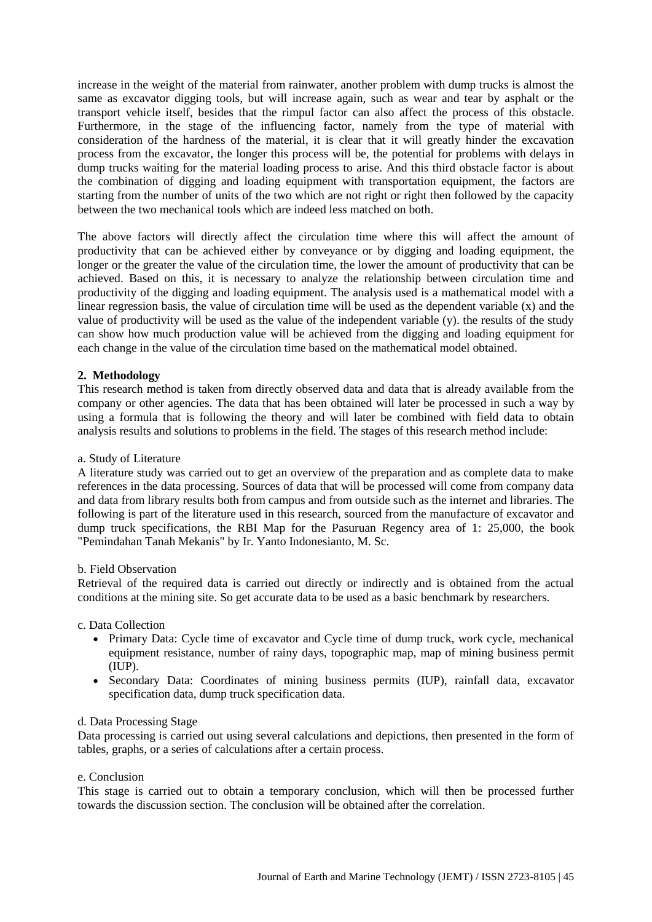increase in the weight of the material from rainwater, another problem with dump trucks is almost the same as excavator digging tools, but will increase again, such as wear and tear by asphalt or the transport vehicle itself, besides that the rimpul factor can also affect the process of this obstacle. Furthermore, in the stage of the influencing factor, namely from the type of material with consideration of the hardness of the material, it is clear that it will greatly hinder the excavation process from the excavator, the longer this process will be, the potential for problems with delays in dump trucks waiting for the material loading process to arise. And this third obstacle factor is about the combination of digging and loading equipment with transportation equipment, the factors are starting from the number of units of the two which are not right or right then followed by the capacity between the two mechanical tools which are indeed less matched on both.

The above factors will directly affect the circulation time where this will affect the amount of productivity that can be achieved either by conveyance or by digging and loading equipment, the longer or the greater the value of the circulation time, the lower the amount of productivity that can be achieved. Based on this, it is necessary to analyze the relationship between circulation time and productivity of the digging and loading equipment. The analysis used is a mathematical model with a linear regression basis, the value of circulation time will be used as the dependent variable (x) and the value of productivity will be used as the value of the independent variable (y). the results of the study can show how much production value will be achieved from the digging and loading equipment for each change in the value of the circulation time based on the mathematical model obtained.

## **2. Methodology**

This research method is taken from directly observed data and data that is already available from the company or other agencies. The data that has been obtained will later be processed in such a way by using a formula that is following the theory and will later be combined with field data to obtain analysis results and solutions to problems in the field. The stages of this research method include:

## a. Study of Literature

A literature study was carried out to get an overview of the preparation and as complete data to make references in the data processing. Sources of data that will be processed will come from company data and data from library results both from campus and from outside such as the internet and libraries. The following is part of the literature used in this research, sourced from the manufacture of excavator and dump truck specifications, the RBI Map for the Pasuruan Regency area of 1: 25,000, the book "Pemindahan Tanah Mekanis" by Ir. Yanto Indonesianto, M. Sc.

#### b. Field Observation

Retrieval of the required data is carried out directly or indirectly and is obtained from the actual conditions at the mining site. So get accurate data to be used as a basic benchmark by researchers.

c. Data Collection

- Primary Data: Cycle time of excavator and Cycle time of dump truck, work cycle, mechanical equipment resistance, number of rainy days, topographic map, map of mining business permit (IUP).
- Secondary Data: Coordinates of mining business permits (IUP), rainfall data, excavator specification data, dump truck specification data.

#### d. Data Processing Stage

Data processing is carried out using several calculations and depictions, then presented in the form of tables, graphs, or a series of calculations after a certain process.

#### e. Conclusion

This stage is carried out to obtain a temporary conclusion, which will then be processed further towards the discussion section. The conclusion will be obtained after the correlation.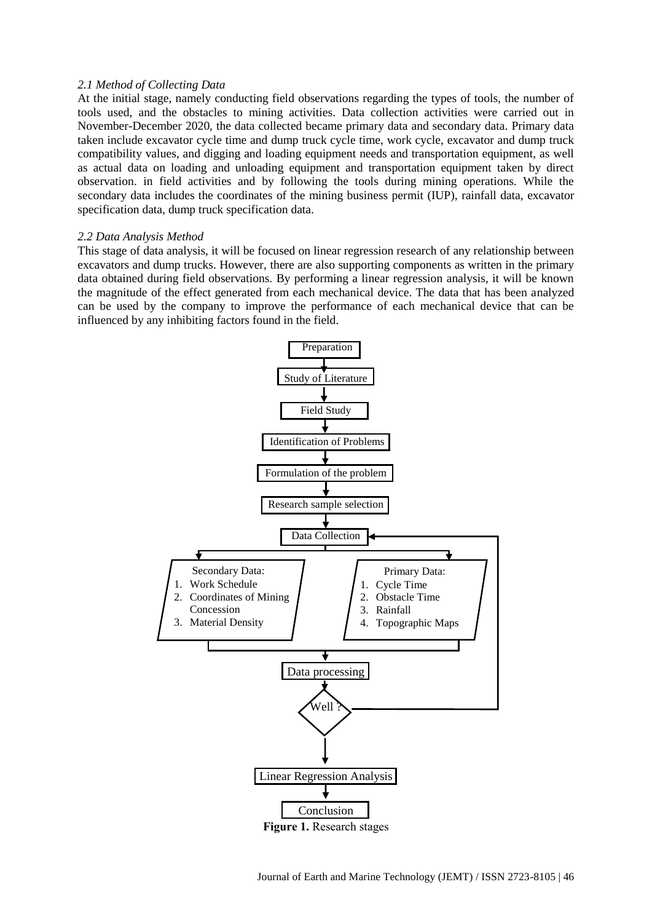### *2.1 Method of Collecting Data*

At the initial stage, namely conducting field observations regarding the types of tools, the number of tools used, and the obstacles to mining activities. Data collection activities were carried out in November-December 2020, the data collected became primary data and secondary data. Primary data taken include excavator cycle time and dump truck cycle time, work cycle, excavator and dump truck compatibility values, and digging and loading equipment needs and transportation equipment, as well as actual data on loading and unloading equipment and transportation equipment taken by direct observation. in field activities and by following the tools during mining operations. While the secondary data includes the coordinates of the mining business permit (IUP), rainfall data, excavator specification data, dump truck specification data.

#### *2.2 Data Analysis Method*

This stage of data analysis, it will be focused on linear regression research of any relationship between excavators and dump trucks. However, there are also supporting components as written in the primary data obtained during field observations. By performing a linear regression analysis, it will be known the magnitude of the effect generated from each mechanical device. The data that has been analyzed can be used by the company to improve the performance of each mechanical device that can be influenced by any inhibiting factors found in the field.

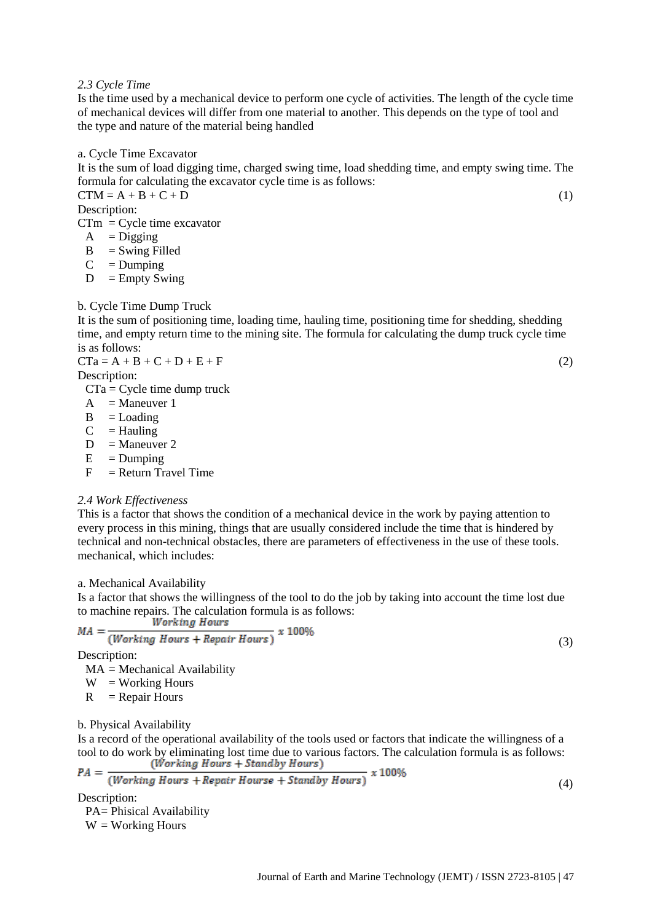*2.3 Cycle Time*

Is the time used by a mechanical device to perform one cycle of activities. The length of the cycle time of mechanical devices will differ from one material to another. This depends on the type of tool and the type and nature of the material being handled

a. Cycle Time Excavator

It is the sum of load digging time, charged swing time, load shedding time, and empty swing time. The formula for calculating the excavator cycle time is as follows:

 $CTM = A + B + C + D$  (1) Description:

- $CTm = Cycle time$  excavator
	- $A = Digging$  $B =$  Swing Filled
	-
	- $C =$ Dumping
	- $D =$  Empty Swing

### b. Cycle Time Dump Truck

It is the sum of positioning time, loading time, hauling time, positioning time for shedding, shedding time, and empty return time to the mining site. The formula for calculating the dump truck cycle time is as follows:  $CTa = A + B + C + D + E + F$  (2)

Description:

 $CTa = Cycle$  time dump truck

- $A =$ Maneuver 1
- $B =$ Loading
- $C =$ Hauling
- $D =$ Maneuver 2
- $E =$ Dumping
- $F =$  Return Travel Time

#### *2.4 Work Effectiveness*

This is a factor that shows the condition of a mechanical device in the work by paying attention to every process in this mining, things that are usually considered include the time that is hindered by technical and non-technical obstacles, there are parameters of effectiveness in the use of these tools. mechanical, which includes:

a. Mechanical Availability

Is a factor that shows the willingness of the tool to do the job by taking into account the time lost due to machine repairs. The calculation formula is as follows:<br> $W_{\text{c}}$ 

$$
MA = \frac{Working \; hours}{(Working \; Hours + Repair \; Hours)} \; x \; 100\%
$$

Description:

 $MA = Mechanical$  Availability

 $W = Working$  Hours

 $R =$  Repair Hours

b. Physical Availability

Is a record of the operational availability of the tools used or factors that indicate the willingness of a tool to do work by eliminating lost time due to various factors. The calculation formula is as follows:<br>(*Working Hours* + *Standby Hours*)  $BA =$  $\overline{1000}$ 

$$
FA = \frac{Working \, Hours + Repair \, Hours + Standby \, Hours}{Working \, Hours}
$$

(4)

(3)

Description:

PA= Phisical Availability W = Working Hours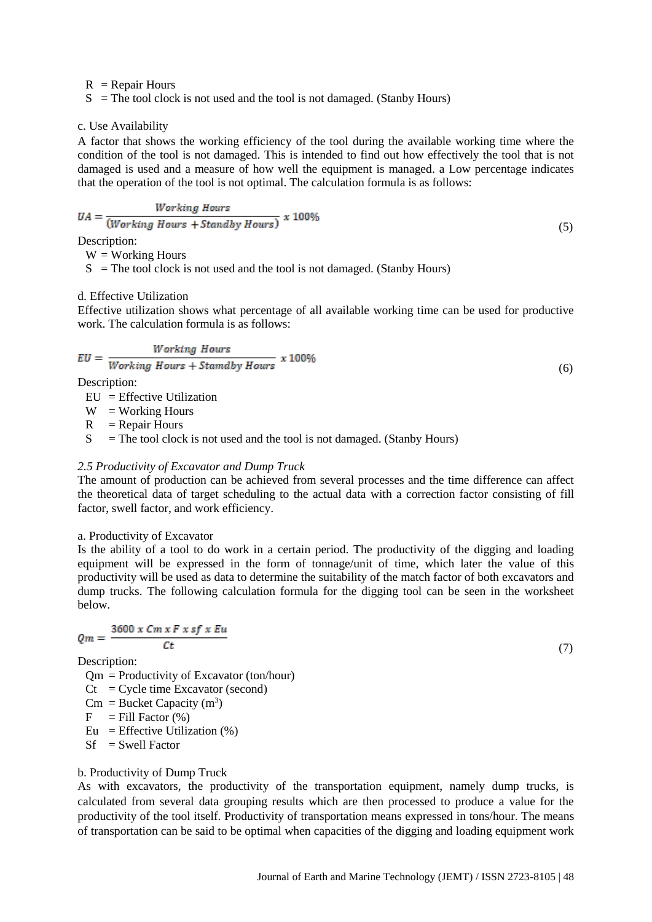$R$  = Repair Hours

 $S =$ The tool clock is not used and the tool is not damaged. (Stanby Hours)

#### c. Use Availability

A factor that shows the working efficiency of the tool during the available working time where the condition of the tool is not damaged. This is intended to find out how effectively the tool that is not damaged is used and a measure of how well the equipment is managed. a Low percentage indicates that the operation of the tool is not optimal. The calculation formula is as follows:

$$
UA = \frac{Working \ Hours}{(Working \ Hours + Standby \ Hours)} \ x \ 100\%
$$
\n
$$
\tag{5}
$$

Description:

 $W = Working$  Hours

 $S =$ The tool clock is not used and the tool is not damaged. (Stanby Hours)

#### d. Effective Utilization

Effective utilization shows what percentage of all available working time can be used for productive work. The calculation formula is as follows:

(6)

(7)

$$
EU = \frac{Working\ Hours}{Working\ Hours + Stamaby\ Hours} \ x \ 100\%
$$

Description:

 $EU = Effective Utilization$ 

 $W = Working Hours$ 

 $R =$  Repair Hours

 $S =$ The tool clock is not used and the tool is not damaged. (Stanby Hours)

#### *2.5 Productivity of Excavator and Dump Truck*

The amount of production can be achieved from several processes and the time difference can affect the theoretical data of target scheduling to the actual data with a correction factor consisting of fill factor, swell factor, and work efficiency.

## a. Productivity of Excavator

Is the ability of a tool to do work in a certain period. The productivity of the digging and loading equipment will be expressed in the form of tonnage/unit of time, which later the value of this productivity will be used as data to determine the suitability of the match factor of both excavators and dump trucks. The following calculation formula for the digging tool can be seen in the worksheet below.

$$
Qm = \frac{3600 \times Cm \times F \times sf \times Eu}{Ct}
$$

Description:

 $Qm$  = Productivity of Excavator (ton/hour)

 $Ct = C$ vcle time Excavator (second)

 $\text{Cm} = \text{Bucker Capacity (m}^3)$ 

 $F =$  Fill Factor  $(\% )$ 

Eu = Effective Utilization  $(\%)$ 

 $Sf = Swell Factor$ 

## b. Productivity of Dump Truck

As with excavators, the productivity of the transportation equipment, namely dump trucks, is calculated from several data grouping results which are then processed to produce a value for the productivity of the tool itself. Productivity of transportation means expressed in tons/hour. The means of transportation can be said to be optimal when capacities of the digging and loading equipment work

Journal of Earth and Marine Technology (JEMT) / ISSN 2723-8105 | 48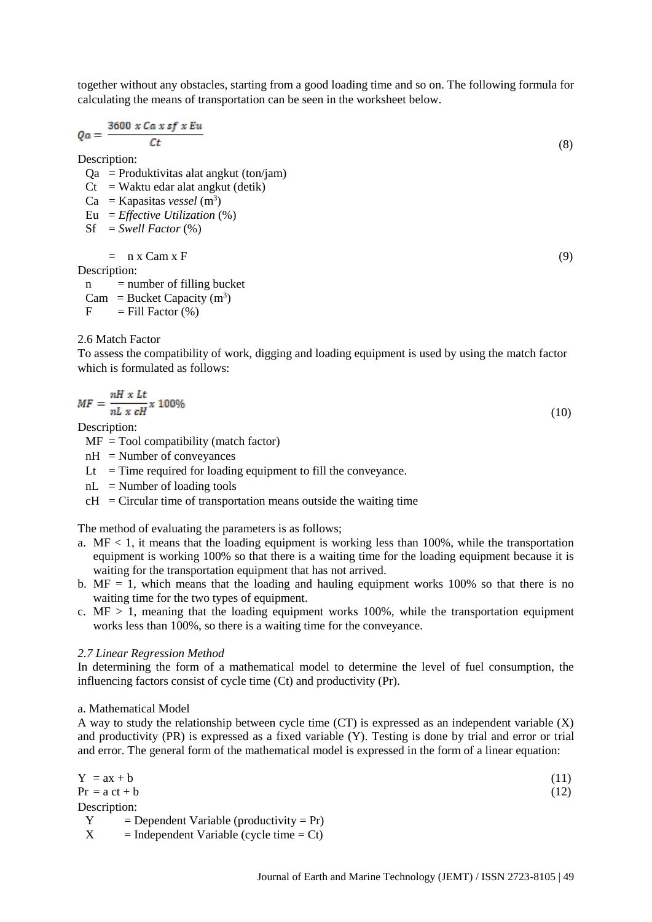together without any obstacles, starting from a good loading time and so on. The following formula for calculating the means of transportation can be seen in the worksheet below.

$$
Qa = \frac{3600 \times Ca \times sf \times Eu}{Ct} \tag{8}
$$

Description:

 $Qa$  = Produktivitas alat angkut (ton/jam)

 $Ct = W$ aktu edar alat angkut (detik)

 $Ca =$ Kapasitas *vessel* (m<sup>3</sup>)

Eu = *Effective Utilization* (%)

 $Sf = Swell Factor (%)$ 

 $=$  n x Cam x F (9)

Description:

 $n =$  number of filling bucket  $Cam = Bucket Capacity(m<sup>3</sup>)$ 

 $F =$  Fill Factor  $(\%)$ 

## 2.6 Match Factor

To assess the compatibility of work, digging and loading equipment is used by using the match factor which is formulated as follows:

$$
MF = \frac{nH \times Lt}{nL \times cH} \times 100\%
$$
\n<sup>(10)</sup>

Description:

- $MF = Tool$  compatibility (match factor)
- $nH =$ Number of conveyances
- Lt  $=$  Time required for loading equipment to fill the conveyance.
- $nL$  = Number of loading tools
- $cH =$ Circular time of transportation means outside the waiting time

The method of evaluating the parameters is as follows;

- a.  $MF < 1$ , it means that the loading equipment is working less than 100%, while the transportation equipment is working 100% so that there is a waiting time for the loading equipment because it is waiting for the transportation equipment that has not arrived.
- b.  $MF = 1$ , which means that the loading and hauling equipment works 100% so that there is no waiting time for the two types of equipment.
- c.  $MF > 1$ , meaning that the loading equipment works 100%, while the transportation equipment works less than 100%, so there is a waiting time for the conveyance.

## *2.7 Linear Regression Method*

In determining the form of a mathematical model to determine the level of fuel consumption, the influencing factors consist of cycle time (Ct) and productivity (Pr).

## a. Mathematical Model

A way to study the relationship between cycle time (CT) is expressed as an independent variable (X) and productivity (PR) is expressed as a fixed variable (Y). Testing is done by trial and error or trial and error. The general form of the mathematical model is expressed in the form of a linear equation:

$$
Y = ax + b
$$
  
\n
$$
Pr = ac + b
$$
  
\nDescription:  
\n
$$
Y = Dependent Variable (productivity = Pr)
$$
  
\n
$$
X = Independent Variable (cycle time = Ct)
$$
  
\n(11)  
\n(12)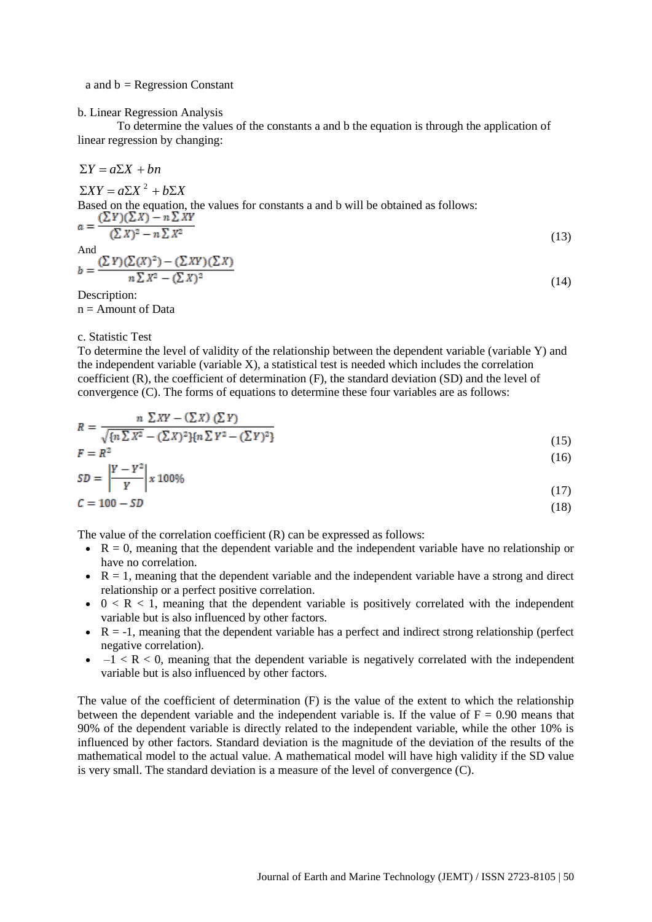#### a and  $b = Regression Constant$

#### b. Linear Regression Analysis

To determine the values of the constants a and b the equation is through the application of linear regression by changing:

$$
\Sigma Y = a\Sigma X + bn
$$
  
\n
$$
\Sigma XY = a\Sigma X^2 + b\Sigma X
$$
  
\nBased on the equation, the values for constants a and b will be obtained as follows:  
\n
$$
a = \frac{(\Sigma Y)(\Sigma X) - n \Sigma XY}{(\Sigma X)^2 - n \Sigma X^2}
$$
  
\nAnd  
\n
$$
b = \frac{(\Sigma Y)(\Sigma(X)^2) - (\Sigma XY)(\Sigma X)}{n \Sigma X^2 - (\Sigma X)^2}
$$
\n(14)

Description:  $n =$  Amount of Data

#### c. Statistic Test

To determine the level of validity of the relationship between the dependent variable (variable Y) and the independent variable (variable X), a statistical test is needed which includes the correlation coefficient (R), the coefficient of determination (F), the standard deviation (SD) and the level of convergence (C). The forms of equations to determine these four variables are as follows:

$$
R = \frac{n \sum XY - (\sum X) (\sum Y)}{\sqrt{\{n \sum X^2 - (\sum X)^2\} \{n \sum Y^2 - (\sum Y)^2\}}}
$$
\n(15)

$$
F = R^2
$$
  

$$
SD = \left| \frac{Y - Y^2}{Y} \right| \times 100\%
$$
 (16)

$$
\begin{array}{c|c}\n & Y & \mid \\
\hline\n\end{array}\n\tag{17}
$$

$$
\mathcal{L} = 100 - SD \tag{18}
$$

The value of the correlation coefficient (R) can be expressed as follows:

- $\cdot$  R = 0, meaning that the dependent variable and the independent variable have no relationship or have no correlation.
- $\bullet$   $R = 1$ , meaning that the dependent variable and the independent variable have a strong and direct relationship or a perfect positive correlation.
- $0 < R < 1$ , meaning that the dependent variable is positively correlated with the independent variable but is also influenced by other factors.
- $\bullet$   $R = -1$ , meaning that the dependent variable has a perfect and indirect strong relationship (perfect negative correlation).
- $-1 < R < 0$ , meaning that the dependent variable is negatively correlated with the independent variable but is also influenced by other factors.

The value of the coefficient of determination (F) is the value of the extent to which the relationship between the dependent variable and the independent variable is. If the value of  $F = 0.90$  means that 90% of the dependent variable is directly related to the independent variable, while the other 10% is influenced by other factors. Standard deviation is the magnitude of the deviation of the results of the mathematical model to the actual value. A mathematical model will have high validity if the SD value is very small. The standard deviation is a measure of the level of convergence (C).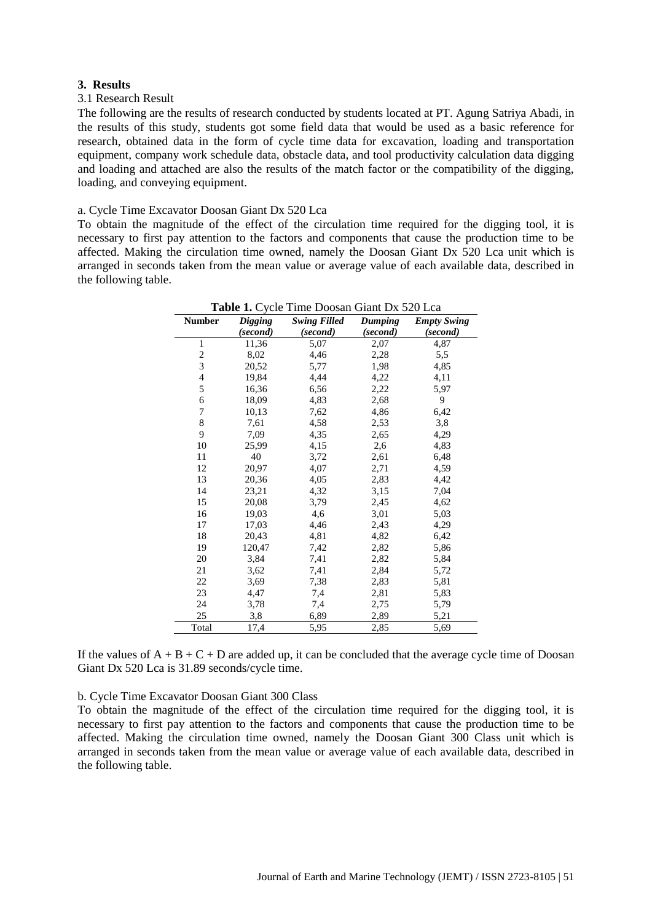## **3. Results**

#### 3.1 Research Result

The following are the results of research conducted by students located at PT. Agung Satriya Abadi, in the results of this study, students got some field data that would be used as a basic reference for research, obtained data in the form of cycle time data for excavation, loading and transportation equipment, company work schedule data, obstacle data, and tool productivity calculation data digging and loading and attached are also the results of the match factor or the compatibility of the digging, loading, and conveying equipment.

## a. Cycle Time Excavator Doosan Giant Dx 520 Lca

To obtain the magnitude of the effect of the circulation time required for the digging tool, it is necessary to first pay attention to the factors and components that cause the production time to be affected. Making the circulation time owned, namely the Doosan Giant Dx  $\overline{5}20$  Lca unit which is arranged in seconds taken from the mean value or average value of each available data, described in the following table.

|                | <b>Table 1.</b> Cycle Time Doosan Giant Dx 520 Lca |                     |                |                    |  |  |  |  |  |
|----------------|----------------------------------------------------|---------------------|----------------|--------------------|--|--|--|--|--|
| <b>Number</b>  | <b>Digging</b>                                     | <b>Swing Filled</b> | <b>Dumping</b> | <b>Empty Swing</b> |  |  |  |  |  |
|                | (second)                                           | (second)            | (second)       | (second)           |  |  |  |  |  |
| $\mathbf{1}$   | 11,36                                              | 5,07                | 2,07           | 4,87               |  |  |  |  |  |
| $\overline{c}$ | 8,02                                               | 4,46                | 2,28           | 5,5                |  |  |  |  |  |
| 3              | 20,52                                              | 5,77                | 1,98           | 4,85               |  |  |  |  |  |
| 4              | 19,84                                              | 4,44                | 4,22           | 4,11               |  |  |  |  |  |
| 5              | 16,36                                              | 6,56                | 2,22           | 5,97               |  |  |  |  |  |
| 6              | 18,09                                              | 4,83                | 2,68           | 9                  |  |  |  |  |  |
| 7              | 10,13                                              | 7,62                | 4,86           | 6,42               |  |  |  |  |  |
| 8              | 7,61                                               | 4,58                | 2,53           | 3,8                |  |  |  |  |  |
| 9              | 7,09                                               | 4,35                | 2,65           | 4,29               |  |  |  |  |  |
| 10             | 25,99                                              | 4,15                | 2,6            | 4,83               |  |  |  |  |  |
| 11             | 40                                                 | 3,72                | 2,61           | 6,48               |  |  |  |  |  |
| 12             | 20,97                                              | 4,07                | 2,71           | 4,59               |  |  |  |  |  |
| 13             | 20,36                                              | 4,05                | 2,83           | 4,42               |  |  |  |  |  |
| 14             | 23,21                                              | 4,32                | 3,15           | 7,04               |  |  |  |  |  |
| 15             | 20,08                                              | 3,79                | 2,45           | 4,62               |  |  |  |  |  |
| 16             | 19,03                                              | 4,6                 | 3,01           | 5,03               |  |  |  |  |  |
| 17             | 17,03                                              | 4,46                | 2,43           | 4,29               |  |  |  |  |  |
| 18             | 20,43                                              | 4,81                | 4,82           | 6,42               |  |  |  |  |  |
| 19             | 120,47                                             | 7,42                | 2,82           | 5,86               |  |  |  |  |  |
| 20             | 3,84                                               | 7,41                | 2,82           | 5,84               |  |  |  |  |  |
| 21             | 3,62                                               | 7,41                | 2,84           | 5,72               |  |  |  |  |  |
| 22             | 3,69                                               | 7,38                | 2,83           | 5,81               |  |  |  |  |  |
| 23             | 4,47                                               | 7,4                 | 2,81           | 5,83               |  |  |  |  |  |
| 24             | 3,78                                               | 7,4                 | 2,75           | 5,79               |  |  |  |  |  |
| 25             | 3,8                                                | 6,89                | 2,89           | 5,21               |  |  |  |  |  |
| Total          | 17,4                                               | 5,95                | 2,85           | 5,69               |  |  |  |  |  |

If the values of  $A + B + C + D$  are added up, it can be concluded that the average cycle time of Doosan Giant Dx 520 Lca is 31.89 seconds/cycle time.

b. Cycle Time Excavator Doosan Giant 300 Class

To obtain the magnitude of the effect of the circulation time required for the digging tool, it is necessary to first pay attention to the factors and components that cause the production time to be affected. Making the circulation time owned, namely the Doosan Giant 300 Class unit which is arranged in seconds taken from the mean value or average value of each available data, described in the following table.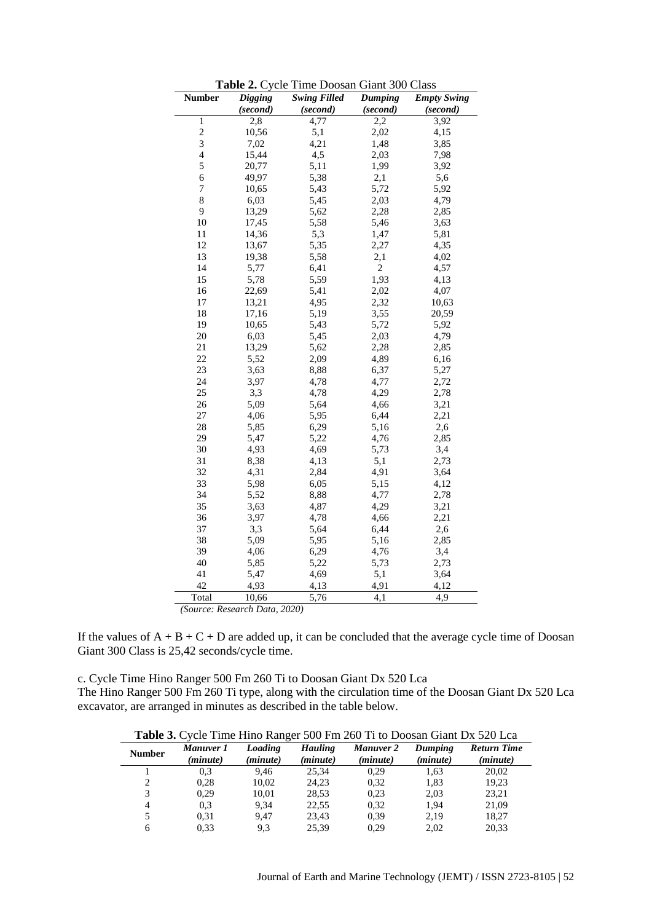| <b>Number</b>  | <b>Digging</b> | <b>Swing Filled</b> | Dumping        | <b>Empty Swing</b> |
|----------------|----------------|---------------------|----------------|--------------------|
|                | (second)       | (second)            | (second)       | (second)           |
| $\,1$          | 2,8            | 4,77                | 2,2            | 3,92               |
| $\overline{c}$ | 10,56          | 5,1                 | 2,02           | 4,15               |
| 3              | 7,02           | 4,21                | 1,48           | 3,85               |
| $\overline{4}$ | 15,44          | 4,5                 | 2,03           | 7,98               |
| 5              | 20,77          | 5,11                | 1,99           | 3,92               |
| 6              | 49,97          | 5,38                | 2,1            | 5,6                |
| $\overline{7}$ | 10,65          | 5,43                | 5,72           | 5,92               |
| $\,$ $\,$      | 6,03           | 5,45                | 2,03           | 4,79               |
| 9              | 13,29          | 5,62                | 2,28           | 2,85               |
| 10             | 17,45          | 5,58                | 5,46           | 3,63               |
| 11             | 14,36          | 5,3                 | 1,47           | 5,81               |
| 12             | 13,67          | 5,35                | 2,27           | 4,35               |
| 13             | 19,38          | 5,58                | 2,1            | 4,02               |
| 14             | 5,77           | 6,41                | $\overline{c}$ | 4,57               |
| 15             | 5,78           | 5,59                | 1,93           | 4,13               |
| 16             | 22,69          | 5,41                | 2,02           | 4,07               |
| 17             | 13,21          | 4,95                | 2,32           | 10,63              |
| 18             | 17,16          | 5,19                | 3,55           | 20,59              |
| 19             | 10,65          | 5,43                | 5,72           | 5,92               |
| 20             | 6,03           | 5,45                | 2,03           | 4,79               |
| 21             | 13,29          | 5,62                | 2,28           | 2,85               |
| 22             | 5,52           | 2,09                | 4,89           | 6,16               |
| 23             | 3,63           | 8,88                | 6,37           | 5,27               |
| 24             | 3,97           | 4,78                | 4,77           | 2,72               |
| 25             | 3,3            | 4,78                | 4,29           | 2,78               |
| 26             | 5,09           | 5,64                | 4,66           | 3,21               |
| 27             | 4,06           | 5,95                | 6,44           | 2,21               |
| 28             | 5,85           | 6,29                | 5,16           | 2,6                |
| 29             | 5,47           | 5,22                | 4,76           | 2,85               |
| 30             | 4,93           | 4,69                | 5,73           | 3,4                |
| 31             | 8,38           | 4,13                | 5,1            | 2,73               |
| 32             | 4,31           | 2,84                | 4,91           | 3,64               |
| 33             | 5,98           | 6,05                | 5,15           | 4,12               |
| 34             | 5,52           | 8,88                | 4,77           | 2,78               |
| 35             | 3,63           | 4,87                | 4,29           | 3,21               |
| 36             | 3,97           | 4,78                | 4,66           | 2,21               |
| 37             | 3,3            | 5,64                | 6,44           | 2,6                |
| 38             | 5,09           | 5,95                | 5,16           | 2,85               |
| 39             | 4,06           | 6,29                | 4,76           | 3,4                |
| 40             | 5,85           | 5,22                | 5,73           | 2,73               |
| 41             | 5,47           | 4,69                | 5,1            | 3,64               |
| 42             | 4,93           | 4,13                | 4,91           | 4,12               |
| Total          | 10,66          | 5,76                | 4,1            | 4,9                |

**Table 2.** Cycle Time Doosan Giant 300 Class

*(Source: Research Data, 2020)*

If the values of  $A + B + C + D$  are added up, it can be concluded that the average cycle time of Doosan Giant 300 Class is 25,42 seconds/cycle time.

c. Cycle Time Hino Ranger 500 Fm 260 Ti to Doosan Giant Dx 520 Lca The Hino Ranger 500 Fm 260 Ti type, along with the circulation time of the Doosan Giant Dx 520 Lca excavator, are arranged in minutes as described in the table below.

| <b>Table 3.</b> Cycle Time Hino Ranger 500 Fm 260 Ti to Doosan Giant Dx 520 Lca |  |
|---------------------------------------------------------------------------------|--|
|                                                                                 |  |

| <b>Number</b> | Manuver 1<br>(minute) | Loading<br>(minute) | <b>Hauling</b><br>( <i>minute</i> ) | <b>Manuver 2</b><br>(minute) | Dumping<br>( <i>minute</i> ) | <b>Return Time</b><br>( <i>minute</i> ) |
|---------------|-----------------------|---------------------|-------------------------------------|------------------------------|------------------------------|-----------------------------------------|
|               | 0.3                   | 9.46                | 25.34                               | 0.29                         | 1.63                         | 20.02                                   |
|               | 0.28                  | 10,02               | 24.23                               | 0.32                         | 1,83                         | 19,23                                   |
| 3             | 0.29                  | 10.01               | 28.53                               | 0.23                         | 2.03                         | 23,21                                   |
| 4             | 0.3                   | 9.34                | 22.55                               | 0.32                         | 1,94                         | 21,09                                   |
|               | 0.31                  | 9.47                | 23.43                               | 0.39                         | 2.19                         | 18,27                                   |
| 6             | 0.33                  | 9,3                 | 25.39                               | 0.29                         | 2.02                         | 20.33                                   |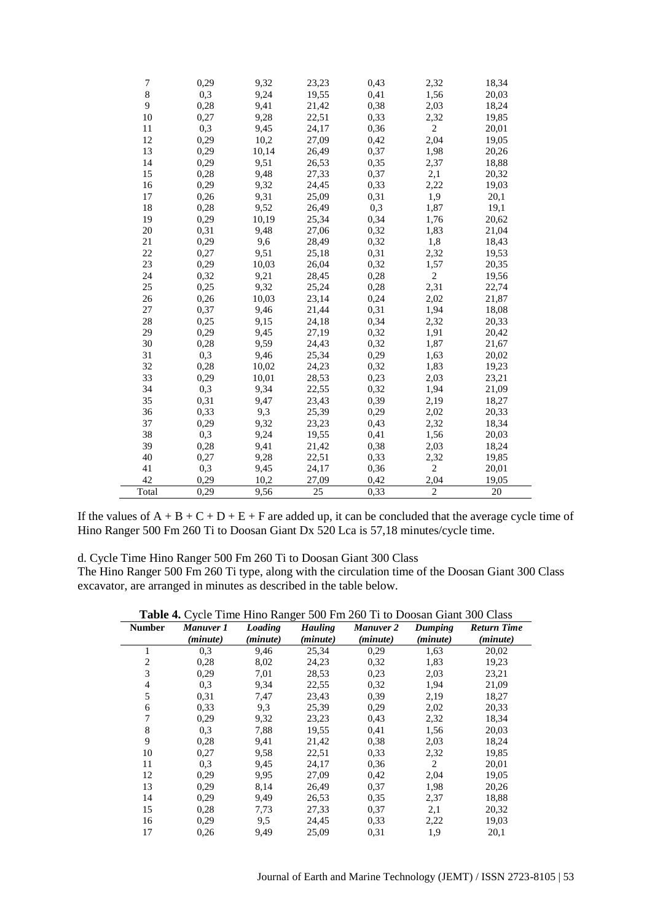| 7      | 0,29 | 9,32  | 23,23           | 0,43 | 2,32           | 18,34 |
|--------|------|-------|-----------------|------|----------------|-------|
| 8      | 0,3  | 9,24  | 19,55           | 0,41 | 1,56           | 20,03 |
| 9      | 0,28 | 9,41  | 21,42           | 0,38 | 2,03           | 18,24 |
| 10     | 0,27 | 9,28  | 22,51           | 0,33 | 2,32           | 19,85 |
| 11     | 0,3  | 9,45  | 24,17           | 0,36 | 2              | 20,01 |
| 12     | 0,29 | 10,2  | 27,09           | 0,42 | 2,04           | 19,05 |
| 13     | 0,29 | 10,14 | 26,49           | 0,37 | 1,98           | 20,26 |
| 14     | 0,29 | 9,51  | 26,53           | 0,35 | 2,37           | 18,88 |
| 15     | 0,28 | 9,48  | 27,33           | 0,37 | 2,1            | 20,32 |
| 16     | 0,29 | 9,32  | 24,45           | 0,33 | 2,22           | 19,03 |
| 17     | 0,26 | 9,31  | 25,09           | 0,31 | 1,9            | 20,1  |
| 18     | 0,28 | 9,52  | 26,49           | 0,3  | 1,87           | 19,1  |
| 19     | 0,29 | 10,19 | 25,34           | 0,34 | 1,76           | 20,62 |
| 20     | 0,31 | 9,48  | 27,06           | 0,32 | 1,83           | 21,04 |
| 21     | 0,29 | 9,6   | 28,49           | 0,32 | 1,8            | 18,43 |
| 22     | 0,27 | 9,51  | 25,18           | 0,31 | 2,32           | 19,53 |
| 23     | 0,29 | 10,03 | 26,04           | 0,32 | 1,57           | 20,35 |
| 24     | 0,32 | 9,21  | 28,45           | 0,28 | $\overline{c}$ | 19,56 |
| 25     | 0,25 | 9,32  | 25,24           | 0,28 | 2,31           | 22,74 |
| 26     | 0,26 | 10,03 | 23,14           | 0,24 | 2,02           | 21,87 |
| $27\,$ | 0,37 | 9,46  | 21,44           | 0,31 | 1,94           | 18,08 |
| 28     | 0,25 | 9,15  | 24,18           | 0,34 | 2,32           | 20,33 |
| 29     | 0,29 | 9,45  | 27,19           | 0,32 | 1,91           | 20,42 |
| 30     | 0,28 | 9,59  | 24,43           | 0,32 | 1,87           | 21,67 |
| 31     | 0,3  | 9,46  | 25,34           | 0,29 | 1,63           | 20,02 |
| 32     | 0,28 | 10,02 | 24,23           | 0,32 | 1,83           | 19,23 |
| 33     | 0,29 | 10,01 | 28,53           | 0,23 | 2,03           | 23,21 |
| 34     | 0,3  | 9,34  | 22,55           | 0,32 | 1,94           | 21,09 |
| 35     | 0,31 | 9,47  | 23,43           | 0,39 | 2,19           | 18,27 |
| 36     | 0,33 | 9,3   | 25,39           | 0,29 | 2,02           | 20,33 |
| 37     | 0,29 | 9,32  | 23,23           | 0,43 | 2,32           | 18,34 |
| 38     | 0,3  | 9,24  | 19,55           | 0,41 | 1,56           | 20,03 |
| 39     | 0,28 | 9,41  | 21,42           | 0,38 | 2,03           | 18,24 |
| 40     | 0,27 | 9,28  | 22,51           | 0,33 | 2,32           | 19,85 |
| 41     | 0,3  | 9,45  | 24,17           | 0,36 | $\overline{c}$ | 20,01 |
| 42     | 0,29 | 10,2  | 27,09           | 0,42 | 2,04           | 19,05 |
| Total  | 0,29 | 9,56  | $\overline{25}$ | 0,33 | $\overline{2}$ | 20    |

If the values of  $A + B + C + D + E + F$  are added up, it can be concluded that the average cycle time of Hino Ranger 500 Fm 260 Ti to Doosan Giant Dx 520 Lca is 57,18 minutes/cycle time.

## d. Cycle Time Hino Ranger 500 Fm 260 Ti to Doosan Giant 300 Class

The Hino Ranger 500 Fm 260 Ti type, along with the circulation time of the Doosan Giant 300 Class excavator, are arranged in minutes as described in the table below.

|  |  |  | Table 4. Cycle Time Hino Ranger 500 Fm 260 Ti to Doosan Giant 300 Class |
|--|--|--|-------------------------------------------------------------------------|
|  |  |  |                                                                         |

| <b>Table 4:</b> Cycle Thise This Ranger 500 The 200 TT to Doosan Grant 500 Class |           |          |                   |                  |                |                    |  |  |  |
|----------------------------------------------------------------------------------|-----------|----------|-------------------|------------------|----------------|--------------------|--|--|--|
| <b>Number</b>                                                                    | Manuver 1 | Loading  | <b>Hauling</b>    | <b>Manuver 2</b> | <b>Dumping</b> | <b>Return Time</b> |  |  |  |
|                                                                                  | (minute)  | (minute) | ( <i>minute</i> ) | (minute)         | (minute)       | (minute)           |  |  |  |
| 1                                                                                | 0,3       | 9,46     | 25,34             | 0,29             | 1,63           | 20,02              |  |  |  |
| $\overline{c}$                                                                   | 0,28      | 8,02     | 24,23             | 0,32             | 1,83           | 19,23              |  |  |  |
| 3                                                                                | 0,29      | 7,01     | 28,53             | 0,23             | 2,03           | 23,21              |  |  |  |
| 4                                                                                | 0,3       | 9,34     | 22,55             | 0,32             | 1,94           | 21,09              |  |  |  |
| 5                                                                                | 0,31      | 7,47     | 23,43             | 0.39             | 2,19           | 18,27              |  |  |  |
| 6                                                                                | 0.33      | 9.3      | 25,39             | 0,29             | 2,02           | 20,33              |  |  |  |
| 7                                                                                | 0,29      | 9,32     | 23,23             | 0.43             | 2,32           | 18,34              |  |  |  |
| 8                                                                                | 0,3       | 7,88     | 19,55             | 0.41             | 1,56           | 20,03              |  |  |  |
| 9                                                                                | 0,28      | 9,41     | 21,42             | 0,38             | 2,03           | 18,24              |  |  |  |
| 10                                                                               | 0,27      | 9,58     | 22,51             | 0.33             | 2,32           | 19,85              |  |  |  |
| 11                                                                               | 0,3       | 9,45     | 24,17             | 0.36             | 2              | 20,01              |  |  |  |
| 12                                                                               | 0,29      | 9,95     | 27,09             | 0,42             | 2,04           | 19,05              |  |  |  |
| 13                                                                               | 0,29      | 8,14     | 26,49             | 0.37             | 1,98           | 20,26              |  |  |  |
| 14                                                                               | 0,29      | 9,49     | 26,53             | 0,35             | 2,37           | 18,88              |  |  |  |
| 15                                                                               | 0,28      | 7,73     | 27,33             | 0,37             | 2,1            | 20,32              |  |  |  |
| 16                                                                               | 0,29      | 9,5      | 24,45             | 0,33             | 2,22           | 19,03              |  |  |  |
| 17                                                                               | 0,26      | 9,49     | 25,09             | 0.31             | 1,9            | 20,1               |  |  |  |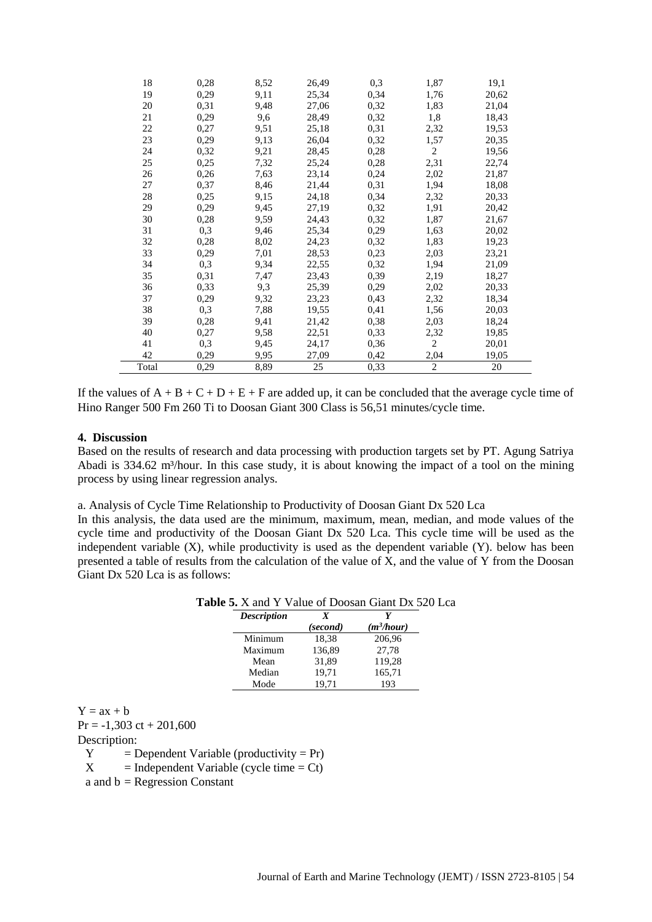| 18    | 0,28 | 8,52 | 26,49 | 0,3  | 1,87           | 19,1  |
|-------|------|------|-------|------|----------------|-------|
| 19    | 0,29 | 9,11 | 25,34 | 0,34 | 1,76           | 20,62 |
| 20    | 0,31 | 9,48 | 27,06 | 0,32 | 1,83           | 21,04 |
| 21    | 0,29 | 9,6  | 28,49 | 0,32 | 1,8            | 18,43 |
| 22    | 0,27 | 9,51 | 25,18 | 0,31 | 2,32           | 19,53 |
| 23    | 0,29 | 9,13 | 26,04 | 0,32 | 1,57           | 20,35 |
| 24    | 0,32 | 9,21 | 28,45 | 0,28 | $\overline{2}$ | 19,56 |
| 25    | 0,25 | 7,32 | 25,24 | 0,28 | 2,31           | 22,74 |
| 26    | 0,26 | 7,63 | 23,14 | 0,24 | 2,02           | 21,87 |
| 27    | 0,37 | 8,46 | 21,44 | 0,31 | 1,94           | 18,08 |
| 28    | 0,25 | 9,15 | 24,18 | 0,34 | 2,32           | 20,33 |
| 29    | 0,29 | 9,45 | 27,19 | 0,32 | 1,91           | 20,42 |
| 30    | 0,28 | 9,59 | 24,43 | 0,32 | 1,87           | 21,67 |
| 31    | 0,3  | 9,46 | 25,34 | 0,29 | 1,63           | 20,02 |
| 32    | 0,28 | 8,02 | 24,23 | 0,32 | 1,83           | 19,23 |
| 33    | 0,29 | 7,01 | 28,53 | 0,23 | 2,03           | 23,21 |
| 34    | 0,3  | 9,34 | 22,55 | 0,32 | 1,94           | 21,09 |
| 35    | 0,31 | 7,47 | 23,43 | 0,39 | 2,19           | 18,27 |
| 36    | 0,33 | 9,3  | 25,39 | 0,29 | 2,02           | 20,33 |
| 37    | 0,29 | 9,32 | 23,23 | 0,43 | 2,32           | 18,34 |
| 38    | 0,3  | 7,88 | 19,55 | 0,41 | 1,56           | 20,03 |
| 39    | 0,28 | 9,41 | 21,42 | 0,38 | 2,03           | 18,24 |
| 40    | 0,27 | 9,58 | 22,51 | 0,33 | 2,32           | 19,85 |
| 41    | 0,3  | 9,45 | 24,17 | 0,36 | $\overline{c}$ | 20,01 |
| 42    | 0,29 | 9,95 | 27,09 | 0,42 | 2,04           | 19,05 |
| Total | 0,29 | 8,89 | 25    | 0,33 | $\overline{2}$ | 20    |

If the values of  $A + B + C + D + E + F$  are added up, it can be concluded that the average cycle time of Hino Ranger 500 Fm 260 Ti to Doosan Giant 300 Class is 56,51 minutes/cycle time.

#### **4. Discussion**

Based on the results of research and data processing with production targets set by PT. Agung Satriya Abadi is 334.62 m<sup>3</sup>/hour. In this case study, it is about knowing the impact of a tool on the mining process by using linear regression analys.

a. Analysis of Cycle Time Relationship to Productivity of Doosan Giant Dx 520 Lca

In this analysis, the data used are the minimum, maximum, mean, median, and mode values of the cycle time and productivity of the Doosan Giant Dx 520 Lca. This cycle time will be used as the independent variable (X), while productivity is used as the dependent variable (Y). below has been presented a table of results from the calculation of the value of  $\overline{X}$ , and the value of Y from the Doosan Giant Dx 520 Lca is as follows:

| Die 5. A and T value of Doosan Giant DA 32 |          |              |
|--------------------------------------------|----------|--------------|
| <b>Description</b>                         | X        |              |
|                                            | (second) | $(m^3/hour)$ |
| Minimum                                    | 18,38    | 206,96       |
| Maximum                                    | 136,89   | 27,78        |
| Mean                                       | 31,89    | 119,28       |
| Median                                     | 19,71    | 165,71       |
| Mode                                       | 19,71    | 193          |

## **Table 5.** X and Y Value of Doosan Giant Dx 520 Lca

 $Y = ax + b$  $Pr = -1,303$  ct + 201,600

Description:

 $Y = Dependent Variable (productivity = Pr)$ 

 $X =$  Independent Variable (cycle time = Ct)

a and  $b = Regression Constant$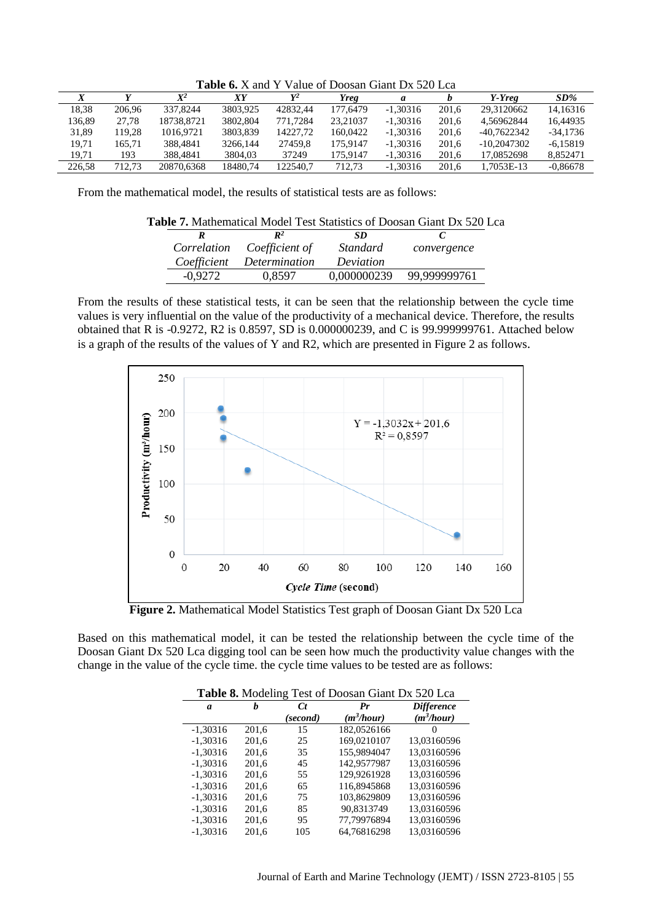Table 6. X and Y Value of Doosan Giant Dx 520 Lca

|        |        | $\mathbf{V}^2$ | XҮ       | $\mathbf{v}^2$ | Yreg     | a          |       | Y-Yreg      | $SD\%$     |
|--------|--------|----------------|----------|----------------|----------|------------|-------|-------------|------------|
| 18.38  | 206,96 | 337,8244       | 3803.925 | 42832.44       | 177,6479 | $-1,30316$ | 201.6 | 29.3120662  | 14,16316   |
| 136.89 | 27.78  | 18738.8721     | 3802.804 | 771.7284       | 23,21037 | $-1,30316$ | 201.6 | 4.56962844  | 16.44935   |
| 31,89  | 119.28 | 1016.9721      | 3803.839 | 14227.72       | 160.0422 | $-1,30316$ | 201.6 | -40.7622342 | $-34.1736$ |
| 19.71  | 165.71 | 388.4841       | 3266.144 | 27459.8        | 175,9147 | $-1,30316$ | 201.6 | -10.2047302 | $-6.15819$ |
| 19.71  | 193    | 388,4841       | 3804.03  | 37249          | 175.9147 | $-1,30316$ | 201.6 | 17.0852698  | 8.852471   |
| 226.58 | 712.73 | 20870.6368     | 18480.74 | 122540.7       | 712.73   | $-1,30316$ | 201.6 | 1.7053E-13  | $-0.86678$ |
|        |        |                |          |                |          |            |       |             |            |

From the mathematical model, the results of statistical tests are as follows:

| <b>Table 7.</b> Mathematical Model Test Statistics of Doosan Giant Dx 520 Lca |                |             |              |  |  |  |  |  |  |
|-------------------------------------------------------------------------------|----------------|-------------|--------------|--|--|--|--|--|--|
|                                                                               | $\mathbb{R}^2$ | SD          |              |  |  |  |  |  |  |
| Correlation                                                                   | Coefficient of | Standard    | convergence  |  |  |  |  |  |  |
| Coefficient                                                                   | Determination  | Deviation   |              |  |  |  |  |  |  |
| $-0.9272$                                                                     | 0,8597         | 0,000000239 | 99,999999761 |  |  |  |  |  |  |
|                                                                               |                |             |              |  |  |  |  |  |  |

From the results of these statistical tests, it can be seen that the relationship between the cycle time values is very influential on the value of the productivity of a mechanical device. Therefore, the results obtained that R is -0.9272, R2 is 0.8597, SD is 0.000000239, and C is 99.999999761. Attached below is a graph of the results of the values of Y and R2, which are presented in Figure 2 as follows.



**Figure 2.** Mathematical Model Statistics Test graph of Doosan Giant Dx 520 Lca

Based on this mathematical model, it can be tested the relationship between the cycle time of the Doosan Giant Dx 520 Lca digging tool can be seen how much the productivity value changes with the change in the value of the cycle time. the cycle time values to be tested are as follows:

|            | Table 8. Modeling Test of Doosan Giant Dx 520 Lca |          |              |                   |  |  |  |
|------------|---------------------------------------------------|----------|--------------|-------------------|--|--|--|
| a          | h                                                 | C t      | Pr           | <b>Difference</b> |  |  |  |
|            |                                                   | (second) | $(m^3/hour)$ | $(m^3/hour)$      |  |  |  |
| $-1,30316$ | 201,6                                             | 15       | 182,0526166  | $\theta$          |  |  |  |
| $-1,30316$ | 201,6                                             | 25       | 169.0210107  | 13,03160596       |  |  |  |
| $-1,30316$ | 201,6                                             | 35       | 155,9894047  | 13,03160596       |  |  |  |
| $-1,30316$ | 201,6                                             | 45       | 142,9577987  | 13,03160596       |  |  |  |
| $-1,30316$ | 201,6                                             | 55       | 129,9261928  | 13,03160596       |  |  |  |
| $-1,30316$ | 201,6                                             | 65       | 116,8945868  | 13,03160596       |  |  |  |
| $-1,30316$ | 201,6                                             | 75       | 103,8629809  | 13,03160596       |  |  |  |
| $-1,30316$ | 201,6                                             | 85       | 90,8313749   | 13,03160596       |  |  |  |
| $-1,30316$ | 201,6                                             | 95       | 77,79976894  | 13,03160596       |  |  |  |
| $-1,30316$ | 201.6                                             | 105      | 64.76816298  | 13.03160596       |  |  |  |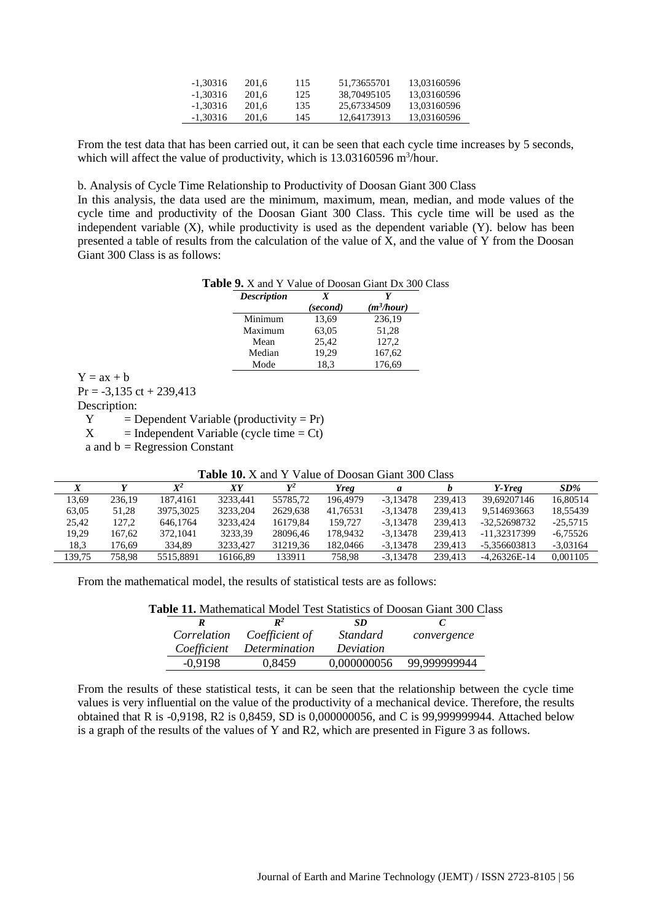| -1.30316 | 201.6 | 115 | 51.73655701 | 13.03160596 |
|----------|-------|-----|-------------|-------------|
| -1.30316 | 201.6 | 125 | 38.70495105 | 13.03160596 |
| -1.30316 | 201.6 | 135 | 25.67334509 | 13.03160596 |
| -1.30316 | 201.6 | 145 | 12.64173913 | 13.03160596 |

From the test data that has been carried out, it can be seen that each cycle time increases by 5 seconds, which will affect the value of productivity, which is 13.03160596 m<sup>3</sup>/hour.

b. Analysis of Cycle Time Relationship to Productivity of Doosan Giant 300 Class

In this analysis, the data used are the minimum, maximum, mean, median, and mode values of the cycle time and productivity of the Doosan Giant 300 Class. This cycle time will be used as the independent variable (X), while productivity is used as the dependent variable (Y). below has been presented a table of results from the calculation of the value of  $\bar{X}$ , and the value of Y from the Doosan Giant 300 Class is as follows:

| <b>Table 9.</b> X and Y Value of Doosan Giant Dx 300 Class |
|------------------------------------------------------------|
|------------------------------------------------------------|

| <b>Description</b> | X        |              |
|--------------------|----------|--------------|
|                    | (second) | $(m^3/hour)$ |
| Minimum            | 13,69    | 236,19       |
| Maximum            | 63,05    | 51,28        |
| Mean               | 25,42    | 127,2        |
| Median             | 19,29    | 167,62       |
| Mode               | 18.3     | 176,69       |

 $Y = ax + b$ 

 $Pr = -3,135$  ct + 239,413

Description:

 $Y = Dependent Variable (productivity = Pr)$ 

 $X =$  Independent Variable (cycle time = Ct)

a and  $b = Regression Constant$ 

| <b>Table 10.</b> X and Y Value of Doosan Giant 300 Class |  |  |
|----------------------------------------------------------|--|--|
|----------------------------------------------------------|--|--|

|        |        | $\mathbf{Y}^2$ | XҮ       | $V^2$    | Yreg     | a          |         | Y-Yreg         | $SD\%$     |
|--------|--------|----------------|----------|----------|----------|------------|---------|----------------|------------|
| 13.69  | 236.19 | 187.4161       | 3233.441 | 55785.72 | 196.4979 | $-3.13478$ | 239.413 | 39.69207146    | 16.80514   |
| 63.05  | 51.28  | 3975,3025      | 3233.204 | 2629.638 | 41.76531 | $-3.13478$ | 239.413 | 9.514693663    | 18.55439   |
| 25,42  | 127,2  | 646,1764       | 3233.424 | 16179.84 | 159,727  | $-3.13478$ | 239.413 | -32.52698732   | $-25.5715$ |
| 19.29  | 167.62 | 372,1041       | 3233.39  | 28096.46 | 178,9432 | $-3.13478$ | 239.413 | -11.32317399   | $-6.75526$ |
| 18,3   | 176.69 | 334.89         | 3233.427 | 31219.36 | 182,0466 | $-3.13478$ | 239.413 | -5.356603813   | $-3.03164$ |
| 139.75 | 758.98 | 5515.8891      | 16166.89 | 133911   | 758.98   | $-3.13478$ | 239.413 | $-4.26326E-14$ | 0.001105   |

From the mathematical model, the results of statistical tests are as follows:

| <b>Table 11.</b> Mathematical Model Test Statistics of Doosan Giant 300 Class |  |  |  |
|-------------------------------------------------------------------------------|--|--|--|
|-------------------------------------------------------------------------------|--|--|--|

|             | $\mathbb{R}^2$ | SD.         |              |
|-------------|----------------|-------------|--------------|
| Correlation | Coefficient of | Standard    | convergence  |
| Coefficient | Determination  | Deviation   |              |
| $-0.9198$   | 0,8459         | 0,000000056 | 99,999999944 |

From the results of these statistical tests, it can be seen that the relationship between the cycle time values is very influential on the value of the productivity of a mechanical device. Therefore, the results obtained that R is -0,9198, R2 is 0,8459, SD is 0,000000056, and C is 99,999999944. Attached below is a graph of the results of the values of Y and R2, which are presented in Figure 3 as follows.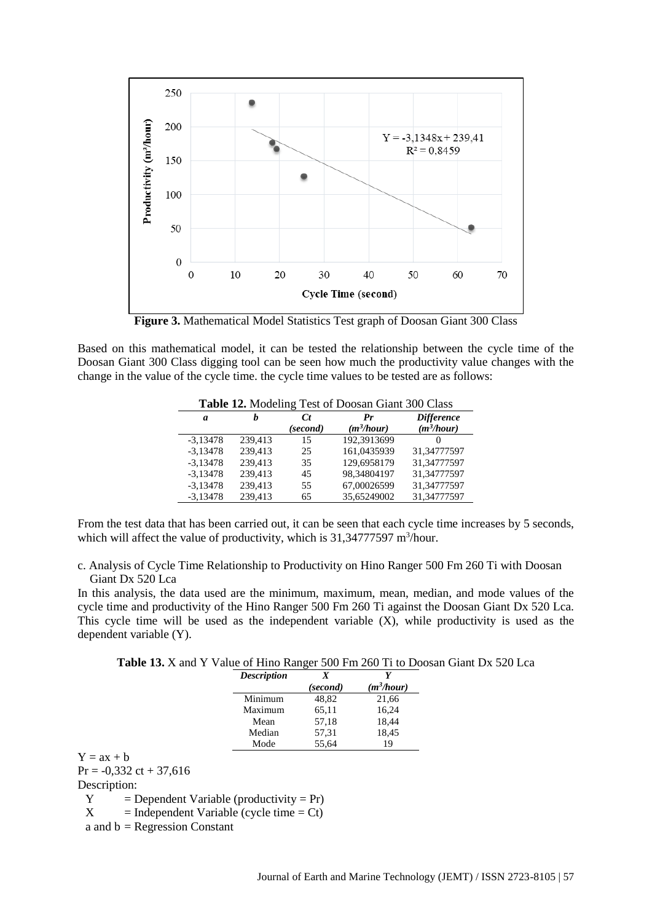

**Figure 3.** Mathematical Model Statistics Test graph of Doosan Giant 300 Class

Based on this mathematical model, it can be tested the relationship between the cycle time of the Doosan Giant 300 Class digging tool can be seen how much the productivity value changes with the change in the value of the cycle time. the cycle time values to be tested are as follows:

|            | <b>Table 12.</b> Modeling Test of Doosan Giant 300 Class |          |              |                   |  |  |  |
|------------|----------------------------------------------------------|----------|--------------|-------------------|--|--|--|
| a          | h                                                        | C t      | $_{\bm{Pr}}$ | <b>Difference</b> |  |  |  |
|            |                                                          | (second) | $(m^3/hour)$ | $(m^3/hour)$      |  |  |  |
| $-3.13478$ | 239,413                                                  | 15       | 192,3913699  |                   |  |  |  |
| $-3,13478$ | 239,413                                                  | 25       | 161,0435939  | 31,34777597       |  |  |  |
| $-3,13478$ | 239,413                                                  | 35       | 129,6958179  | 31,34777597       |  |  |  |
| $-3,13478$ | 239,413                                                  | 45       | 98,34804197  | 31,34777597       |  |  |  |
| $-3,13478$ | 239,413                                                  | 55       | 67,00026599  | 31,34777597       |  |  |  |
| $-3,13478$ | 239,413                                                  | 65       | 35,65249002  | 31,34777597       |  |  |  |

**Table 12.** Modeling Test of Doosan Giant 300 Class

From the test data that has been carried out, it can be seen that each cycle time increases by 5 seconds, which will affect the value of productivity, which is 31,34777597 m<sup>3</sup>/hour.

c. Analysis of Cycle Time Relationship to Productivity on Hino Ranger 500 Fm 260 Ti with Doosan Giant Dx 520 Lca

In this analysis, the data used are the minimum, maximum, mean, median, and mode values of the cycle time and productivity of the Hino Ranger 500 Fm 260 Ti against the Doosan Giant Dx 520 Lca. This cycle time will be used as the independent variable (X), while productivity is used as the dependent variable (Y).

| Table 13. X and Y Value of Hino Ranger 500 Fm 260 Ti to Doosan Giant Dx 520 Lca |  |  |  |  |  |  |
|---------------------------------------------------------------------------------|--|--|--|--|--|--|
|---------------------------------------------------------------------------------|--|--|--|--|--|--|

| <b>Description</b> | X        |              |
|--------------------|----------|--------------|
|                    | (second) | $(m^3/hour)$ |
| Minimum            | 48.82    | 21,66        |
| Maximum            | 65,11    | 16,24        |
| Mean               | 57,18    | 18,44        |
| Median             | 57.31    | 18,45        |
| Mode               | 55.64    | 19           |

 $Y = ax + b$  $Pr = -0.332 \text{ ct} + 37,616$ Description:  $Y = Dependent Variable (productivity = Pr)$  $X =$  Independent Variable (cycle time = Ct) a and  $b = Regression Constant$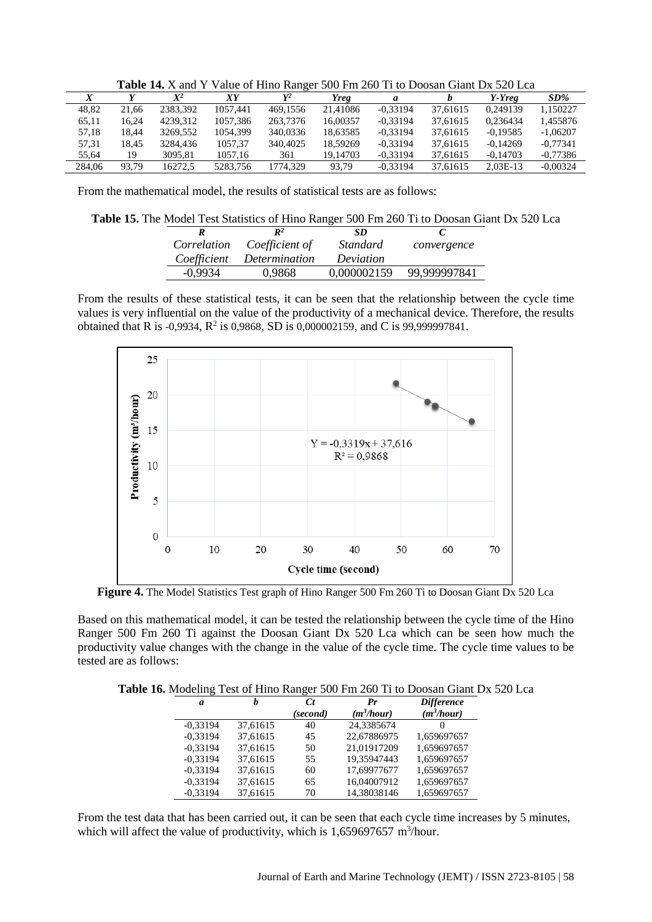|        |       | $\mathbf{X}^2$ | XҮ       | $\mathbf{v}^2$ | <b>Yreg</b> | a          |          | Y-Yreg     | $SD\%$     |
|--------|-------|----------------|----------|----------------|-------------|------------|----------|------------|------------|
| 48.82  | 21.66 | 2383.392       | 1057.441 | 469,1556       | 21,41086    | $-0.33194$ | 37.61615 | 0.249139   | 1.150227   |
| 65,11  | 16.24 | 4239.312       | 1057,386 | 263,7376       | 16.00357    | $-0.33194$ | 37.61615 | 0.236434   | 1.455876   |
| 57.18  | 18.44 | 3269,552       | 1054.399 | 340,0336       | 18.63585    | $-0.33194$ | 37.61615 | $-0.19585$ | $-1.06207$ |
| 57.31  | 18.45 | 3284.436       | 1057.37  | 340,4025       | 18.59269    | $-0.33194$ | 37.61615 | $-0.14269$ | $-0.77341$ |
| 55.64  | 19    | 3095.81        | 1057.16  | 361            | 19.14703    | $-0.33194$ | 37.61615 | $-0.14703$ | $-0.77386$ |
| 284.06 | 93.79 | 16272.5        | 5283.756 | 1774.329       | 93.79       | $-0.33194$ | 37.61615 | $2.03E-13$ | $-0.00324$ |

**Table 14.** X and Y Value of Hino Ranger 500 Fm 260 Ti to Doosan Giant Dx 520 Lca

From the mathematical model, the results of statistical tests are as follows:

|         |                                  |           | Table 15. The Model Test Statistics of Hino Ranger 500 Fm 260 Ti to Doosan Giant Dx 520 Lca |  |
|---------|----------------------------------|-----------|---------------------------------------------------------------------------------------------|--|
|         | $\mathbb{R}^2$                   | SD        |                                                                                             |  |
|         | Correlation Coefficient of       | Standard  | convergence                                                                                 |  |
|         | <i>Coefficient Determination</i> | Deviation |                                                                                             |  |
| -0.9934 | 0.9868                           |           | 0,000002159 99,999997841                                                                    |  |

From the results of these statistical tests, it can be seen that the relationship between the cycle time values is very influential on the value of the productivity of a mechanical device. Therefore, the results obtained that R is -0,9934,  $R^2$  is 0,9868, SD is 0,000002159, and C is 99,999997841.



**Figure 4.** The Model Statistics Test graph of Hino Ranger 500 Fm 260 Ti to Doosan Giant Dx 520 Lca

Based on this mathematical model, it can be tested the relationship between the cycle time of the Hino Ranger 500 Fm 260 Ti against the Doosan Giant Dx 520 Lca which can be seen how much the productivity value changes with the change in the value of the cycle time. The cycle time values to be tested are as follows:

**Table 16.** Modeling Test of Hino Ranger 500 Fm 260 Ti to Doosan Giant Dx 520 Lca

| a          | h        | Сt       | $P_{r}$      | <b>Difference</b> |
|------------|----------|----------|--------------|-------------------|
|            |          | (second) | $(m^3/hour)$ | $(m^3/hour)$      |
| $-0,33194$ | 37,61615 | 40       | 24,3385674   | $\theta$          |
| $-0.33194$ | 37,61615 | 45       | 22,67886975  | 1,659697657       |
| $-0.33194$ | 37,61615 | 50       | 21,01917209  | 1,659697657       |
| $-0.33194$ | 37,61615 | 55       | 19,35947443  | 1,659697657       |
| $-0.33194$ | 37,61615 | 60       | 17,69977677  | 1,659697657       |
| $-0.33194$ | 37.61615 | 65       | 16,04007912  | 1,659697657       |
| $-0.33194$ | 37,61615 | 70       | 14,38038146  | 1,659697657       |

From the test data that has been carried out, it can be seen that each cycle time increases by 5 minutes, which will affect the value of productivity, which is  $1,659697657$  m<sup>3</sup>/hour.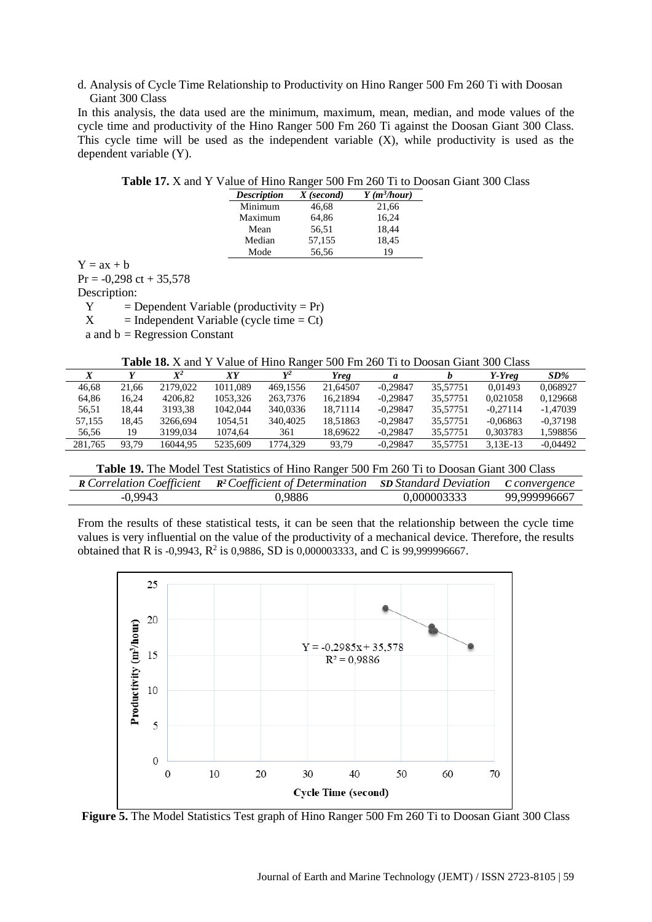d. Analysis of Cycle Time Relationship to Productivity on Hino Ranger 500 Fm 260 Ti with Doosan Giant 300 Class

In this analysis, the data used are the minimum, maximum, mean, median, and mode values of the cycle time and productivity of the Hino Ranger 500 Fm 260 Ti against the Doosan Giant 300 Class. This cycle time will be used as the independent variable (X), while productivity is used as the dependent variable (Y).

| <b>Description</b> | $X$ (second) | $Y$ (m <sup>3</sup> /hour) |
|--------------------|--------------|----------------------------|
| Minimum            | 46,68        | 21,66                      |
| Maximum            | 64,86        | 16,24                      |
| Mean               | 56,51        | 18,44                      |
| Median             | 57,155       | 18,45                      |
| Mode               | 56,56        | 19                         |

| <b>Table 17.</b> X and Y Value of Hino Ranger 500 Fm 260 Ti to Doosan Giant 300 Class |  |  |  |  |  |
|---------------------------------------------------------------------------------------|--|--|--|--|--|
|                                                                                       |  |  |  |  |  |

| $Y = ax + b$ |                                   |  |
|--------------|-----------------------------------|--|
|              | $Pr = -0,298 \text{ ct} + 35,578$ |  |

Description:

 $Y = Dependent Variable (productivity = Pr)$  $X =$  Independent Variable (cycle time = Ct)

a and  $b = Regression Constant$ 

**Table 18.** X and Y Value of Hino Ranger 500 Fm 260 Ti to Doosan Giant 300 Class

| $\Lambda$ |       | $\boldsymbol{X}^2$ | XҮ       | $V^2$    | Yreg     | a          |          | Y-Yreg     | $SD\%$     |
|-----------|-------|--------------------|----------|----------|----------|------------|----------|------------|------------|
| 46.68     | 21.66 | 2179,022           | 1011.089 | 469.1556 | 21,64507 | $-0.29847$ | 35.57751 | 0.01493    | 0.068927   |
| 64.86     | 16.24 | 4206.82            | 1053.326 | 263,7376 | 16.21894 | $-0.29847$ | 35.57751 | 0.021058   | 0.129668   |
| 56.51     | 18.44 | 3193.38            | 1042,044 | 340,0336 | 18.71114 | $-0.29847$ | 35.57751 | $-0.27114$ | $-1.47039$ |
| 57.155    | 18.45 | 3266.694           | 1054.51  | 340,4025 | 18.51863 | $-0.29847$ | 35.57751 | $-0.06863$ | $-0.37198$ |
| 56.56     | 19    | 3199.034           | 1074.64  | 361      | 18.69622 | $-0.29847$ | 35.57751 | 0.303783   | 1.598856   |
| 281.765   | 93.79 | 16044.95           | 5235,609 | 1774.329 | 93,79    | $-0.29847$ | 35.57751 | $3.13E-13$ | $-0.04492$ |

**Table 19.** The Model Test Statistics of Hino Ranger 500 Fm 260 Ti to Doosan Giant 300 Class

|           | <b>R</b> Correlation Coefficient $\mathbb{R}^2$ Coefficient of Determination SD Standard Deviation C convergence |             |              |
|-----------|------------------------------------------------------------------------------------------------------------------|-------------|--------------|
| $-0.9943$ | 0,9886                                                                                                           | 0,000003333 | 99,999996667 |

From the results of these statistical tests, it can be seen that the relationship between the cycle time values is very influential on the value of the productivity of a mechanical device. Therefore, the results obtained that R is -0,9943, R<sup>2</sup> is 0,9886, SD is 0,000003333, and C is 99,999996667.



**Figure 5.** The Model Statistics Test graph of Hino Ranger 500 Fm 260 Ti to Doosan Giant 300 Class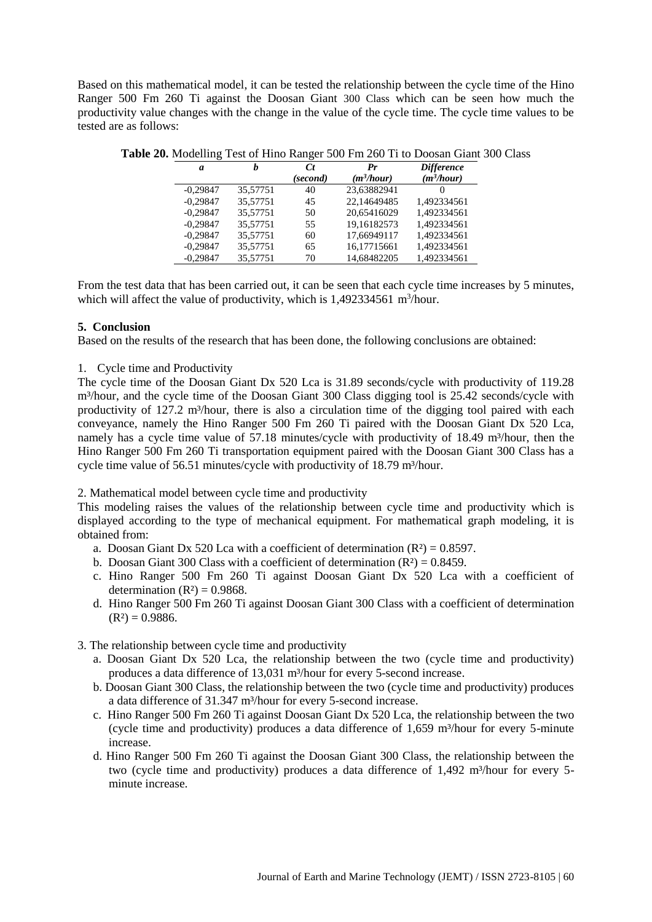Based on this mathematical model, it can be tested the relationship between the cycle time of the Hino Ranger 500 Fm 260 Ti against the Doosan Giant 300 Class which can be seen how much the productivity value changes with the change in the value of the cycle time. The cycle time values to be tested are as follows:

| a          | h        | C t<br>(second) | Pr<br>$(m^3/hour)$ | <b>Difference</b><br>$(m^3/hour)$ |
|------------|----------|-----------------|--------------------|-----------------------------------|
| $-0.29847$ | 35.57751 | 40              | 23,63882941        | $\theta$                          |
| $-0.29847$ | 35.57751 | 45              | 22.14649485        | 1,492334561                       |
| $-0.29847$ | 35.57751 | 50              | 20,65416029        | 1,492334561                       |
| $-0.29847$ | 35,57751 | 55              | 19,16182573        | 1,492334561                       |
| $-0.29847$ | 35,57751 | 60              | 17,66949117        | 1,492334561                       |
| $-0,29847$ | 35,57751 | 65              | 16,17715661        | 1,492334561                       |
| $-0.29847$ | 35.57751 | 70              | 14.68482205        | 1,492334561                       |

**Table 20.** Modelling Test of Hino Ranger 500 Fm 260 Ti to Doosan Giant 300 Class

From the test data that has been carried out, it can be seen that each cycle time increases by 5 minutes, which will affect the value of productivity, which is  $1,492334561$  m<sup>3</sup>/hour.

## **5. Conclusion**

Based on the results of the research that has been done, the following conclusions are obtained:

1. Cycle time and Productivity

The cycle time of the Doosan Giant Dx 520 Lca is 31.89 seconds/cycle with productivity of 119.28 m<sup>3</sup>/hour, and the cycle time of the Doosan Giant 300 Class digging tool is 25.42 seconds/cycle with productivity of 127.2 m<sup>3</sup>/hour, there is also a circulation time of the digging tool paired with each conveyance, namely the Hino Ranger 500 Fm 260 Ti paired with the Doosan Giant Dx 520 Lca, namely has a cycle time value of 57.18 minutes/cycle with productivity of 18.49 m<sup>3</sup>/hour, then the Hino Ranger 500 Fm 260 Ti transportation equipment paired with the Doosan Giant 300 Class has a cycle time value of 56.51 minutes/cycle with productivity of 18.79 m<sup>3</sup>/hour.

## 2. Mathematical model between cycle time and productivity

This modeling raises the values of the relationship between cycle time and productivity which is displayed according to the type of mechanical equipment. For mathematical graph modeling, it is obtained from:

- a. Doosan Giant Dx 520 Lca with a coefficient of determination  $(R^2) = 0.8597$ .
- b. Doosan Giant 300 Class with a coefficient of determination  $(R^2) = 0.8459$ .
- c. Hino Ranger 500 Fm 260 Ti against Doosan Giant Dx 520 Lca with a coefficient of determination  $(R<sup>2</sup>) = 0.9868$ .
- d. Hino Ranger 500 Fm 260 Ti against Doosan Giant 300 Class with a coefficient of determination  $(R<sup>2</sup>) = 0.9886.$
- 3. The relationship between cycle time and productivity
	- a. Doosan Giant Dx 520 Lca, the relationship between the two (cycle time and productivity) produces a data difference of 13,031 m<sup>3</sup>/hour for every 5-second increase.
	- b. Doosan Giant 300 Class, the relationship between the two (cycle time and productivity) produces a data difference of 31.347 m<sup>3</sup>/hour for every 5-second increase.
	- c. Hino Ranger 500 Fm 260 Ti against Doosan Giant Dx 520 Lca, the relationship between the two (cycle time and productivity) produces a data difference of  $1,659$  m<sup>3</sup>/hour for every 5-minute increase.
	- d. Hino Ranger 500 Fm 260 Ti against the Doosan Giant 300 Class, the relationship between the two (cycle time and productivity) produces a data difference of 1,492 m<sup>3</sup>/hour for every 5minute increase.